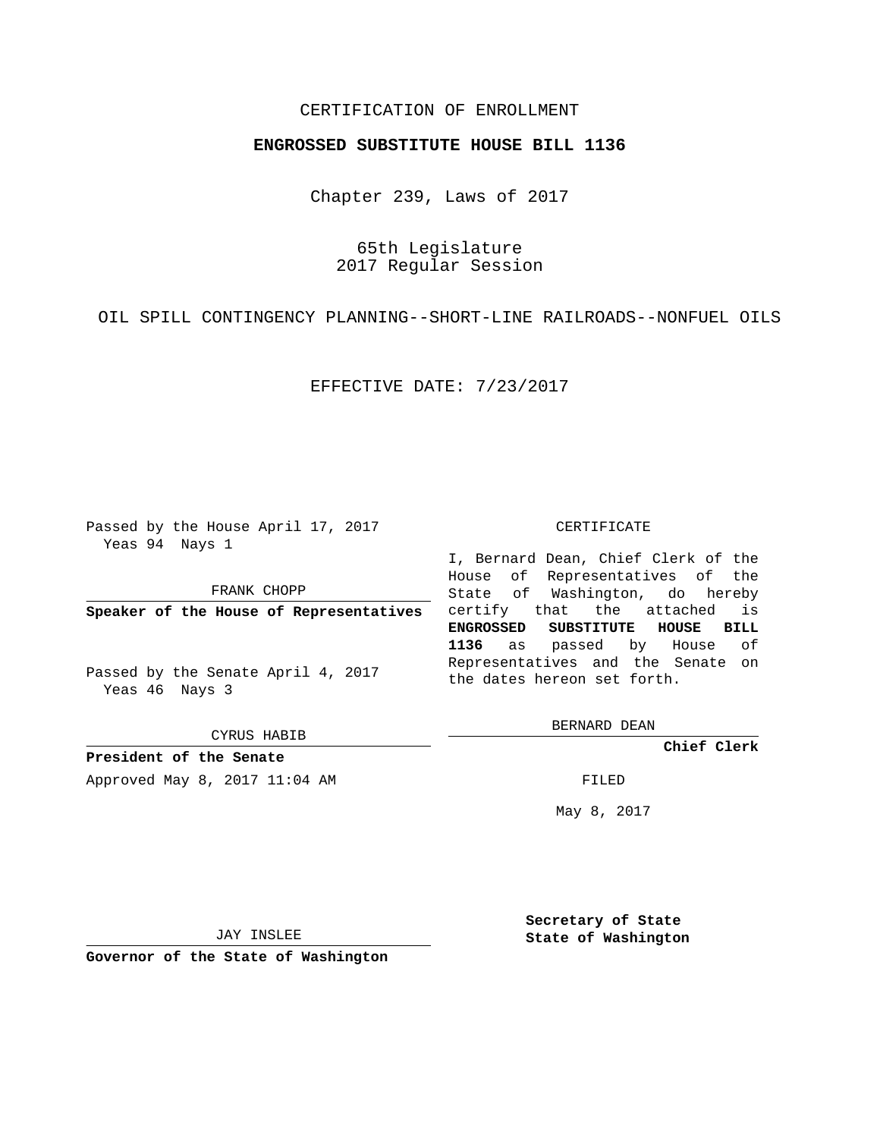## CERTIFICATION OF ENROLLMENT

## **ENGROSSED SUBSTITUTE HOUSE BILL 1136**

Chapter 239, Laws of 2017

65th Legislature 2017 Regular Session

OIL SPILL CONTINGENCY PLANNING--SHORT-LINE RAILROADS--NONFUEL OILS

EFFECTIVE DATE: 7/23/2017

Passed by the House April 17, 2017 Yeas 94 Nays 1

FRANK CHOPP

**Speaker of the House of Representatives**

Passed by the Senate April 4, 2017 Yeas 46 Nays 3

CYRUS HABIB

**President of the Senate**

Approved May 8, 2017 11:04 AM FILED

#### CERTIFICATE

I, Bernard Dean, Chief Clerk of the House of Representatives of the State of Washington, do hereby certify that the attached is **ENGROSSED SUBSTITUTE HOUSE BILL 1136** as passed by House of Representatives and the Senate on the dates hereon set forth.

BERNARD DEAN

**Chief Clerk**

May 8, 2017

JAY INSLEE

**Governor of the State of Washington**

**Secretary of State State of Washington**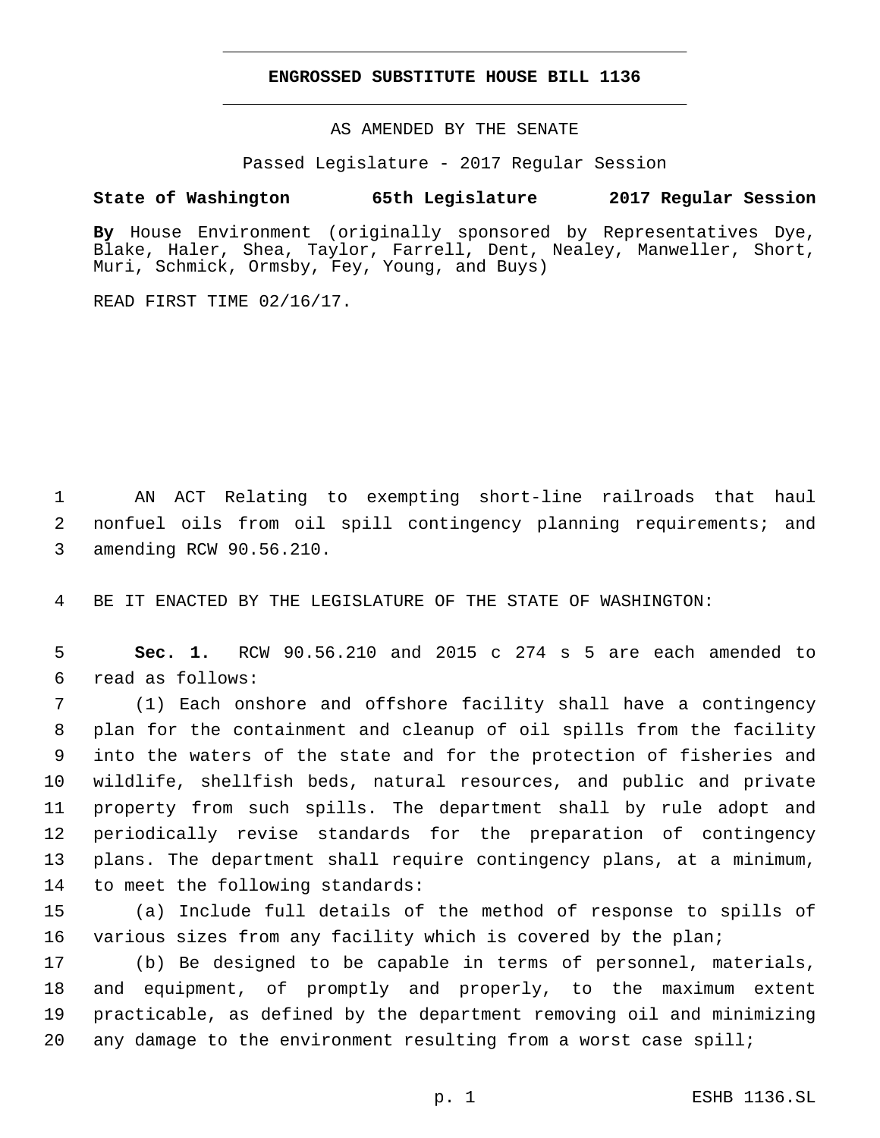### **ENGROSSED SUBSTITUTE HOUSE BILL 1136**

AS AMENDED BY THE SENATE

Passed Legislature - 2017 Regular Session

# **State of Washington 65th Legislature 2017 Regular Session**

**By** House Environment (originally sponsored by Representatives Dye, Blake, Haler, Shea, Taylor, Farrell, Dent, Nealey, Manweller, Short, Muri, Schmick, Ormsby, Fey, Young, and Buys)

READ FIRST TIME 02/16/17.

1 AN ACT Relating to exempting short-line railroads that haul 2 nonfuel oils from oil spill contingency planning requirements; and 3 amending RCW 90.56.210.

4 BE IT ENACTED BY THE LEGISLATURE OF THE STATE OF WASHINGTON:

5 **Sec. 1.** RCW 90.56.210 and 2015 c 274 s 5 are each amended to read as follows:6

 (1) Each onshore and offshore facility shall have a contingency plan for the containment and cleanup of oil spills from the facility into the waters of the state and for the protection of fisheries and wildlife, shellfish beds, natural resources, and public and private property from such spills. The department shall by rule adopt and periodically revise standards for the preparation of contingency plans. The department shall require contingency plans, at a minimum, 14 to meet the following standards:

15 (a) Include full details of the method of response to spills of 16 various sizes from any facility which is covered by the plan;

 (b) Be designed to be capable in terms of personnel, materials, and equipment, of promptly and properly, to the maximum extent practicable, as defined by the department removing oil and minimizing any damage to the environment resulting from a worst case spill;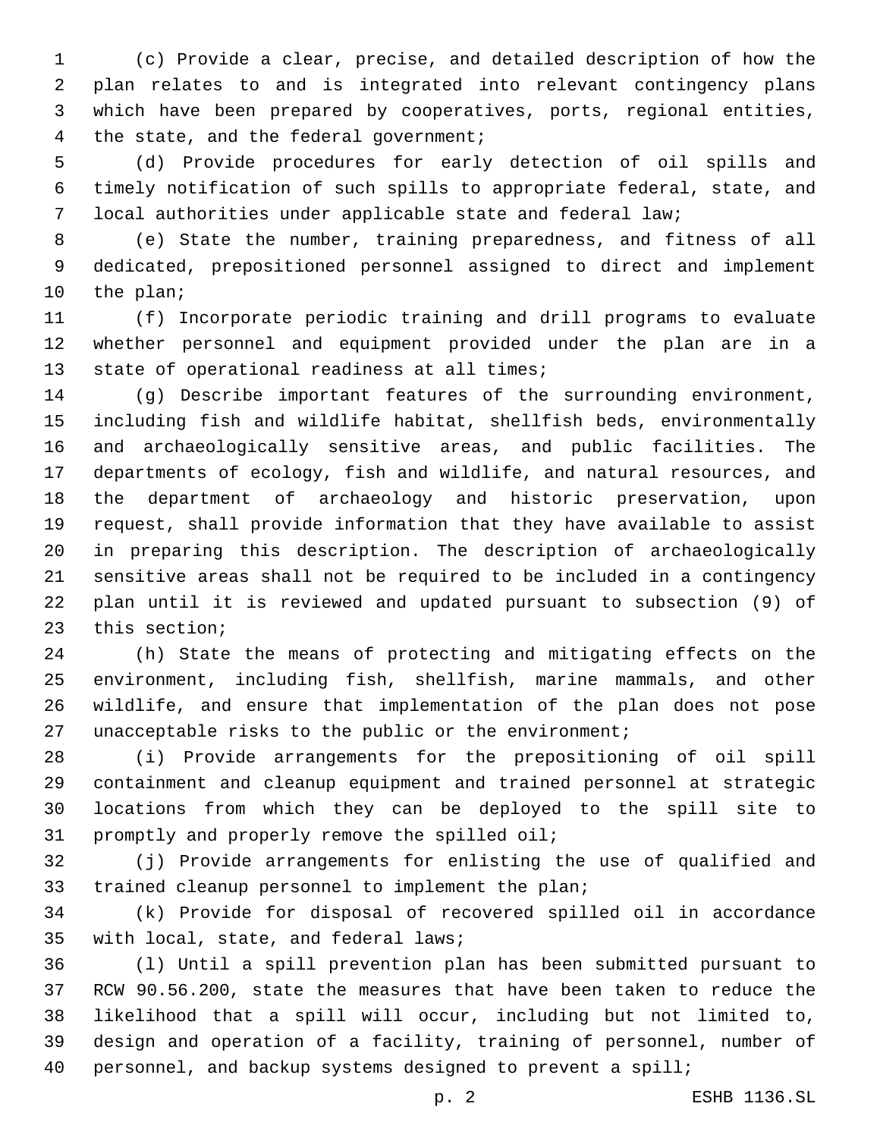(c) Provide a clear, precise, and detailed description of how the plan relates to and is integrated into relevant contingency plans which have been prepared by cooperatives, ports, regional entities, 4 the state, and the federal government;

 (d) Provide procedures for early detection of oil spills and timely notification of such spills to appropriate federal, state, and local authorities under applicable state and federal law;

 (e) State the number, training preparedness, and fitness of all dedicated, prepositioned personnel assigned to direct and implement 10 the plan;

 (f) Incorporate periodic training and drill programs to evaluate whether personnel and equipment provided under the plan are in a 13 state of operational readiness at all times;

 (g) Describe important features of the surrounding environment, including fish and wildlife habitat, shellfish beds, environmentally and archaeologically sensitive areas, and public facilities. The departments of ecology, fish and wildlife, and natural resources, and the department of archaeology and historic preservation, upon request, shall provide information that they have available to assist in preparing this description. The description of archaeologically sensitive areas shall not be required to be included in a contingency plan until it is reviewed and updated pursuant to subsection (9) of 23 this section;

 (h) State the means of protecting and mitigating effects on the environment, including fish, shellfish, marine mammals, and other wildlife, and ensure that implementation of the plan does not pose 27 unacceptable risks to the public or the environment;

 (i) Provide arrangements for the prepositioning of oil spill containment and cleanup equipment and trained personnel at strategic locations from which they can be deployed to the spill site to 31 promptly and properly remove the spilled oil;

 (j) Provide arrangements for enlisting the use of qualified and 33 trained cleanup personnel to implement the plan;

 (k) Provide for disposal of recovered spilled oil in accordance 35 with local, state, and federal laws;

 (l) Until a spill prevention plan has been submitted pursuant to RCW 90.56.200, state the measures that have been taken to reduce the likelihood that a spill will occur, including but not limited to, design and operation of a facility, training of personnel, number of 40 personnel, and backup systems designed to prevent a spill;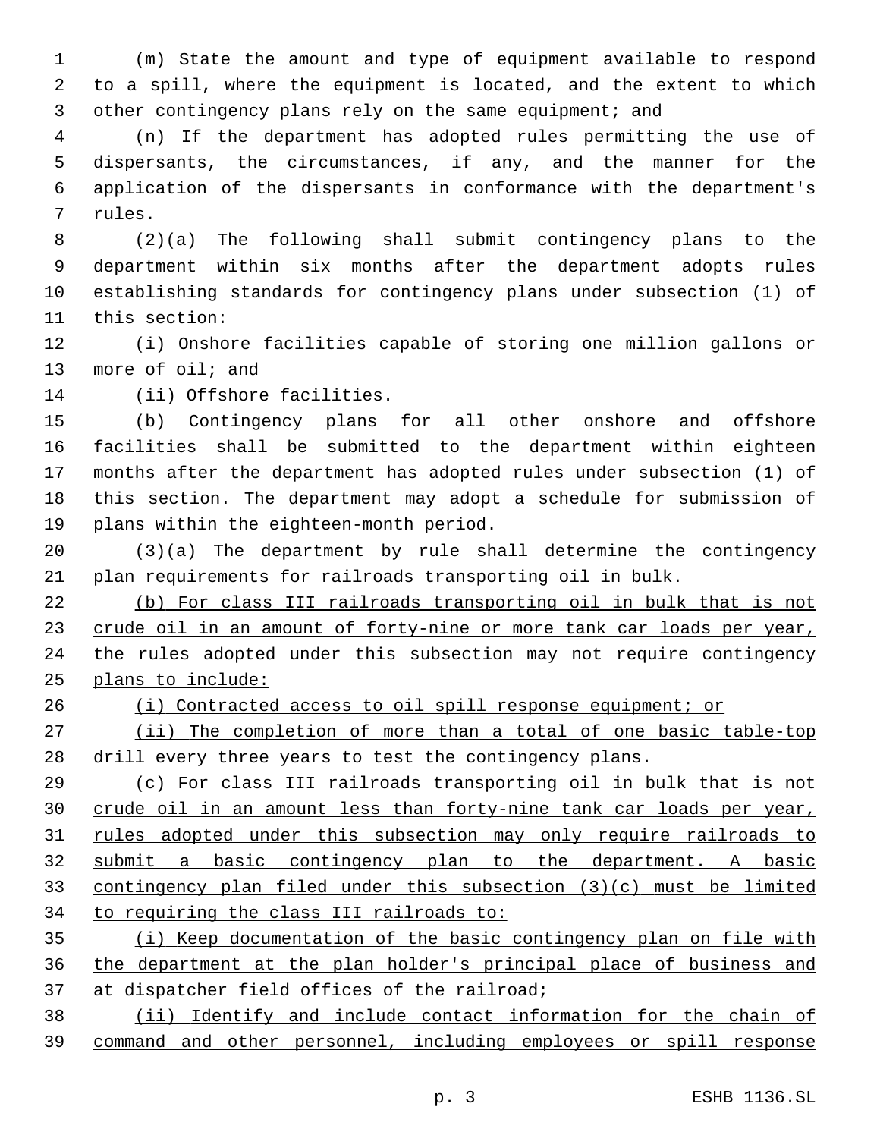(m) State the amount and type of equipment available to respond to a spill, where the equipment is located, and the extent to which 3 other contingency plans rely on the same equipment; and

 (n) If the department has adopted rules permitting the use of dispersants, the circumstances, if any, and the manner for the application of the dispersants in conformance with the department's 7 rules.

 (2)(a) The following shall submit contingency plans to the department within six months after the department adopts rules establishing standards for contingency plans under subsection (1) of 11 this section:

 (i) Onshore facilities capable of storing one million gallons or 13 more of oil; and

14 (ii) Offshore facilities.

 (b) Contingency plans for all other onshore and offshore facilities shall be submitted to the department within eighteen months after the department has adopted rules under subsection (1) of this section. The department may adopt a schedule for submission of 19 plans within the eighteen-month period.

 $(3)(a)$  The department by rule shall determine the contingency plan requirements for railroads transporting oil in bulk.

 (b) For class III railroads transporting oil in bulk that is not crude oil in an amount of forty-nine or more tank car loads per year, 24 the rules adopted under this subsection may not require contingency plans to include:

(i) Contracted access to oil spill response equipment; or

 (ii) The completion of more than a total of one basic table-top 28 drill every three years to test the contingency plans.

 (c) For class III railroads transporting oil in bulk that is not crude oil in an amount less than forty-nine tank car loads per year, rules adopted under this subsection may only require railroads to submit a basic contingency plan to the department. A basic contingency plan filed under this subsection (3)(c) must be limited to requiring the class III railroads to:

 (i) Keep documentation of the basic contingency plan on file with the department at the plan holder's principal place of business and at dispatcher field offices of the railroad;

 (ii) Identify and include contact information for the chain of command and other personnel, including employees or spill response

p. 3 ESHB 1136.SL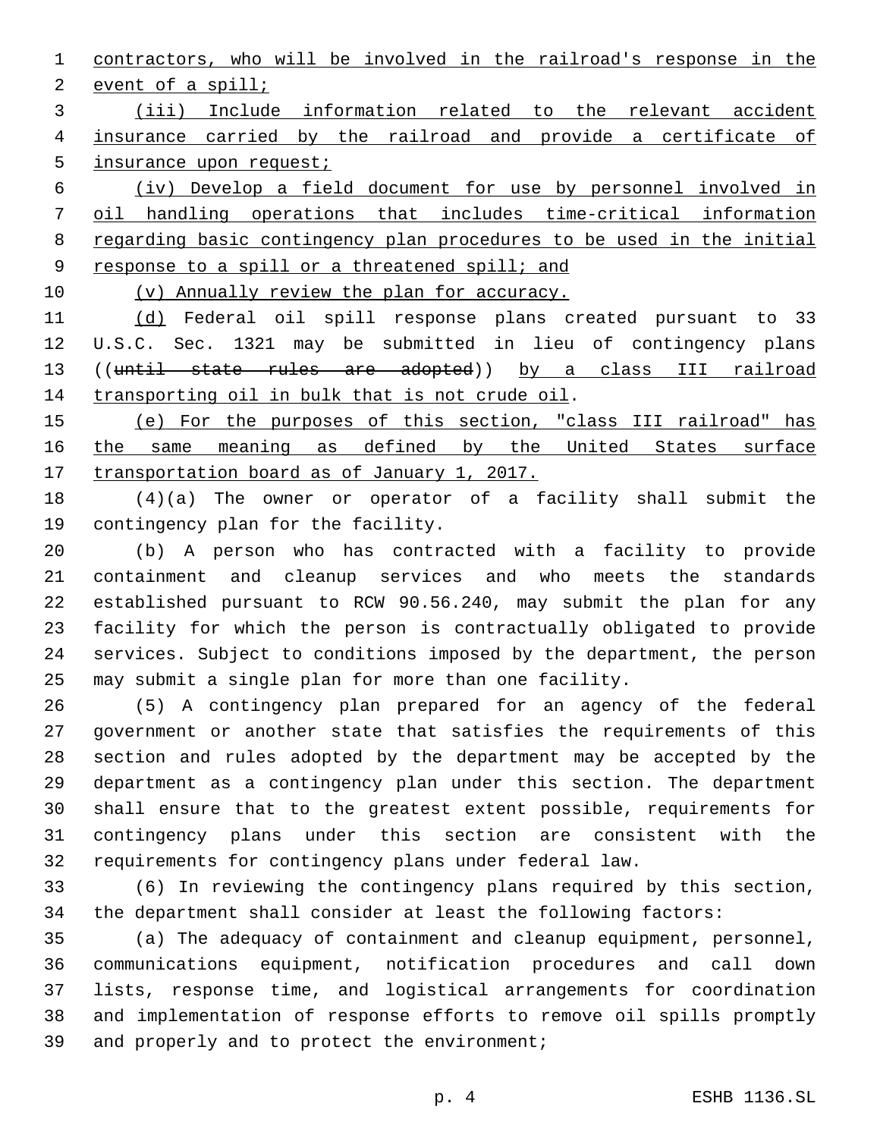contractors, who will be involved in the railroad's response in the 2 event of a spill;

 (iii) Include information related to the relevant accident insurance carried by the railroad and provide a certificate of 5 insurance upon request;

 (iv) Develop a field document for use by personnel involved in oil handling operations that includes time-critical information regarding basic contingency plan procedures to be used in the initial 9 response to a spill or a threatened spill; and

(v) Annually review the plan for accuracy.

11 (d) Federal oil spill response plans created pursuant to 33 U.S.C. Sec. 1321 may be submitted in lieu of contingency plans ((until state rules are adopted)) by a class III railroad 14 transporting oil in bulk that is not crude oil.

 (e) For the purposes of this section, "class III railroad" has 16 the same meaning as defined by the United States surface transportation board as of January 1, 2017.

 (4)(a) The owner or operator of a facility shall submit the 19 contingency plan for the facility.

 (b) A person who has contracted with a facility to provide containment and cleanup services and who meets the standards established pursuant to RCW 90.56.240, may submit the plan for any facility for which the person is contractually obligated to provide services. Subject to conditions imposed by the department, the person may submit a single plan for more than one facility.

 (5) A contingency plan prepared for an agency of the federal government or another state that satisfies the requirements of this section and rules adopted by the department may be accepted by the department as a contingency plan under this section. The department shall ensure that to the greatest extent possible, requirements for contingency plans under this section are consistent with the requirements for contingency plans under federal law.

 (6) In reviewing the contingency plans required by this section, the department shall consider at least the following factors:

 (a) The adequacy of containment and cleanup equipment, personnel, communications equipment, notification procedures and call down lists, response time, and logistical arrangements for coordination and implementation of response efforts to remove oil spills promptly 39 and properly and to protect the environment;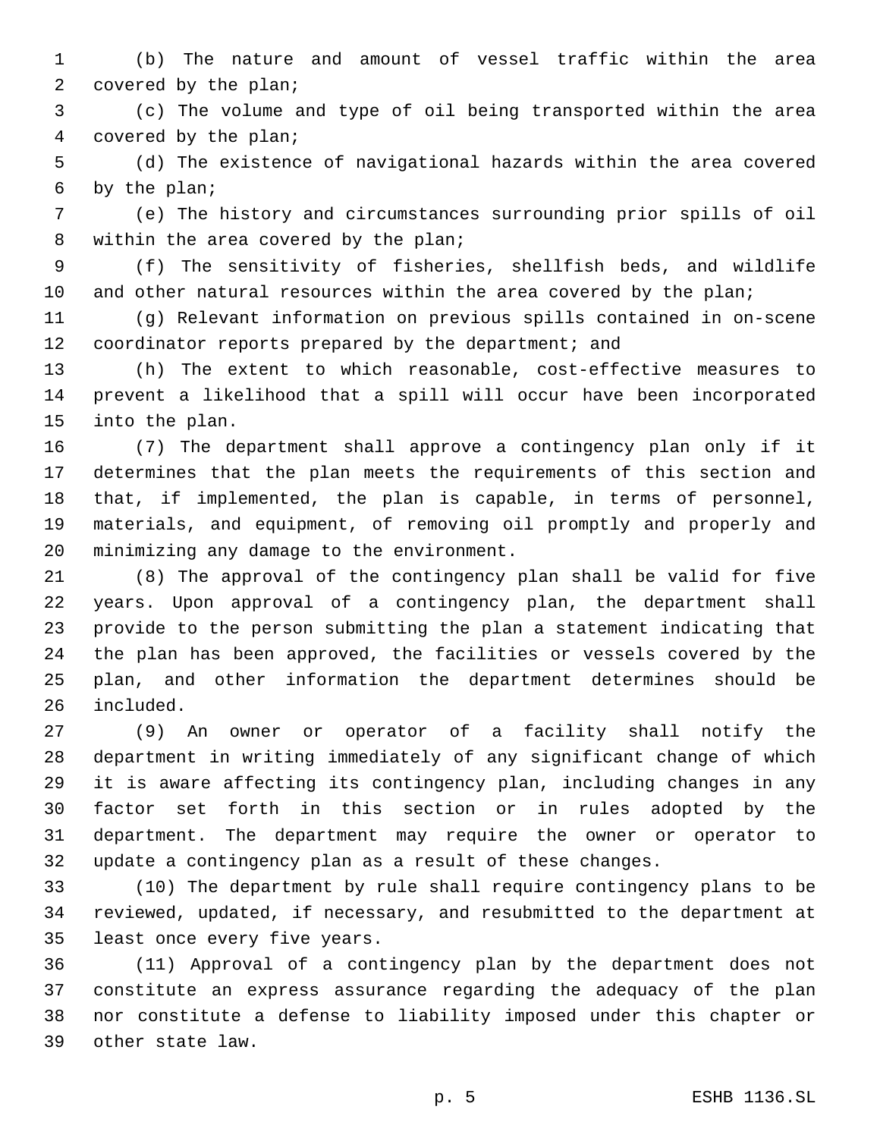(b) The nature and amount of vessel traffic within the area 2 covered by the plan;

 (c) The volume and type of oil being transported within the area 4 covered by the plan;

 (d) The existence of navigational hazards within the area covered by the plan;6

 (e) The history and circumstances surrounding prior spills of oil 8 within the area covered by the plan;

 (f) The sensitivity of fisheries, shellfish beds, and wildlife 10 and other natural resources within the area covered by the plan;

 (g) Relevant information on previous spills contained in on-scene 12 coordinator reports prepared by the department; and

 (h) The extent to which reasonable, cost-effective measures to prevent a likelihood that a spill will occur have been incorporated 15 into the plan.

 (7) The department shall approve a contingency plan only if it determines that the plan meets the requirements of this section and that, if implemented, the plan is capable, in terms of personnel, materials, and equipment, of removing oil promptly and properly and 20 minimizing any damage to the environment.

 (8) The approval of the contingency plan shall be valid for five years. Upon approval of a contingency plan, the department shall provide to the person submitting the plan a statement indicating that the plan has been approved, the facilities or vessels covered by the plan, and other information the department determines should be 26 included.

 (9) An owner or operator of a facility shall notify the department in writing immediately of any significant change of which it is aware affecting its contingency plan, including changes in any factor set forth in this section or in rules adopted by the department. The department may require the owner or operator to update a contingency plan as a result of these changes.

 (10) The department by rule shall require contingency plans to be reviewed, updated, if necessary, and resubmitted to the department at 35 least once every five years.

 (11) Approval of a contingency plan by the department does not constitute an express assurance regarding the adequacy of the plan nor constitute a defense to liability imposed under this chapter or other state law.39